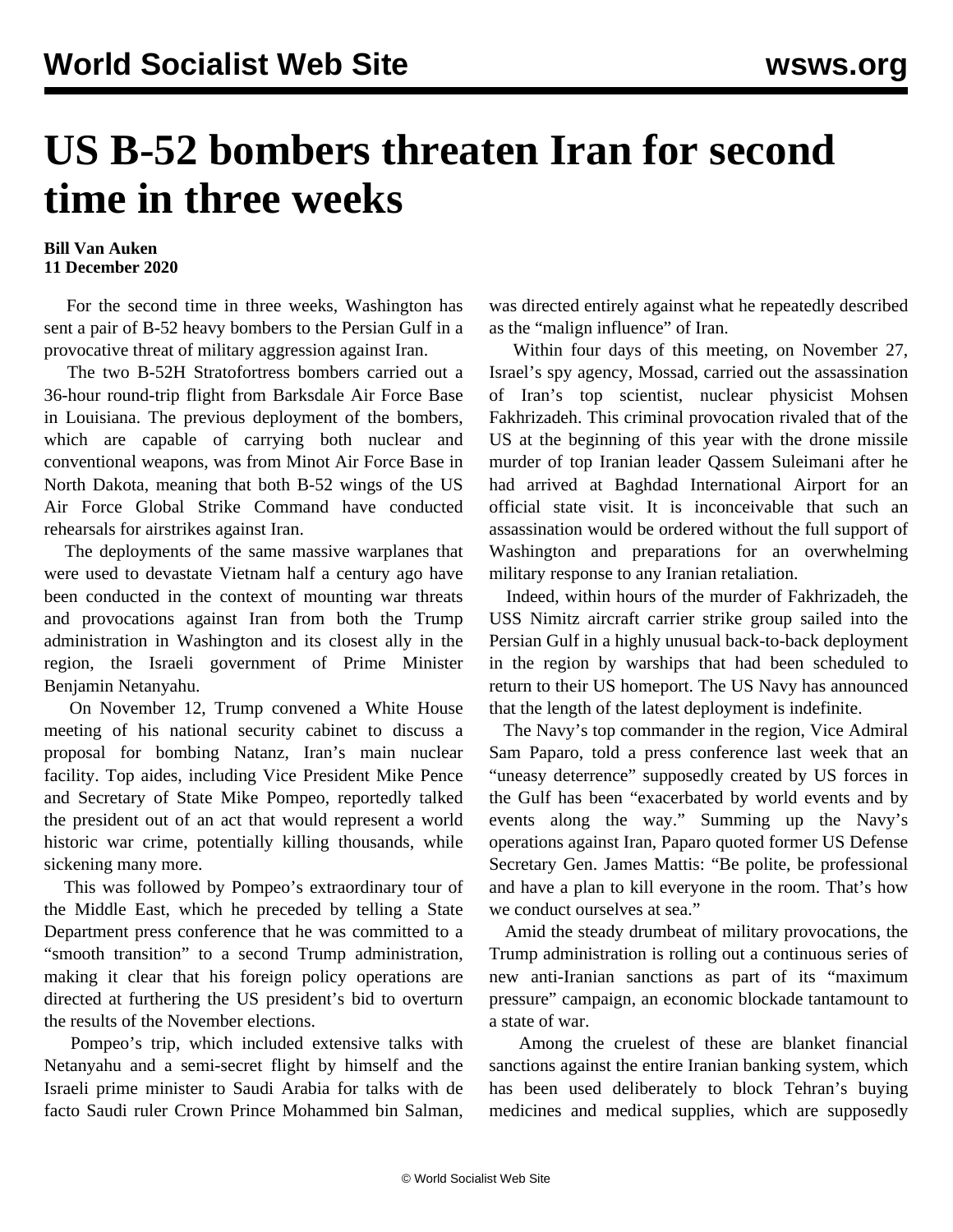## **US B-52 bombers threaten Iran for second time in three weeks**

## **Bill Van Auken 11 December 2020**

 For the second time in three weeks, Washington has sent a pair of B-52 heavy bombers to the Persian Gulf in a provocative threat of military aggression against Iran.

 The two B-52H Stratofortress bombers carried out a 36-hour round-trip flight from Barksdale Air Force Base in Louisiana. The previous deployment of the bombers, which are capable of carrying both nuclear and conventional weapons, was from Minot Air Force Base in North Dakota, meaning that both B-52 wings of the US Air Force Global Strike Command have conducted rehearsals for airstrikes against Iran.

 The deployments of the same massive warplanes that were used to devastate Vietnam half a century ago have been conducted in the context of mounting war threats and provocations against Iran from both the Trump administration in Washington and its closest ally in the region, the Israeli government of Prime Minister Benjamin Netanyahu.

 On November 12, Trump convened a White House meeting of his national security cabinet to discuss a proposal for bombing Natanz, Iran's main nuclear facility. Top aides, including Vice President Mike Pence and Secretary of State Mike Pompeo, reportedly talked the president out of an act that would represent a world historic war crime, potentially killing thousands, while sickening many more.

 This was followed by Pompeo's extraordinary tour of the Middle East, which he preceded by telling a State Department press conference that he was committed to a "smooth transition" to a second Trump administration, making it clear that his foreign policy operations are directed at furthering the US president's bid to overturn the results of the November elections.

 Pompeo's trip, which included extensive talks with Netanyahu and a semi-secret flight by himself and the Israeli prime minister to Saudi Arabia for talks with de facto Saudi ruler Crown Prince Mohammed bin Salman,

was directed entirely against what he repeatedly described as the "malign influence" of Iran.

 Within four days of this meeting, on November 27, Israel's spy agency, Mossad, carried out the assassination of Iran's top scientist, nuclear physicist Mohsen Fakhrizadeh. This criminal provocation rivaled that of the US at the beginning of this year with the drone missile murder of top Iranian leader Qassem Suleimani after he had arrived at Baghdad International Airport for an official state visit. It is inconceivable that such an assassination would be ordered without the full support of Washington and preparations for an overwhelming military response to any Iranian retaliation.

 Indeed, within hours of the murder of Fakhrizadeh, the USS Nimitz aircraft carrier strike group sailed into the Persian Gulf in a highly unusual back-to-back deployment in the region by warships that had been scheduled to return to their US homeport. The US Navy has announced that the length of the latest deployment is indefinite.

 The Navy's top commander in the region, Vice Admiral Sam Paparo, told a press conference last week that an "uneasy deterrence" supposedly created by US forces in the Gulf has been "exacerbated by world events and by events along the way." Summing up the Navy's operations against Iran, Paparo quoted former US Defense Secretary Gen. James Mattis: "Be polite, be professional and have a plan to kill everyone in the room. That's how we conduct ourselves at sea."

 Amid the steady drumbeat of military provocations, the Trump administration is rolling out a continuous series of new anti-Iranian sanctions as part of its "maximum pressure" campaign, an economic blockade tantamount to a state of war.

 Among the cruelest of these are blanket financial sanctions against the entire Iranian banking system, which has been used deliberately to block Tehran's buying medicines and medical supplies, which are supposedly